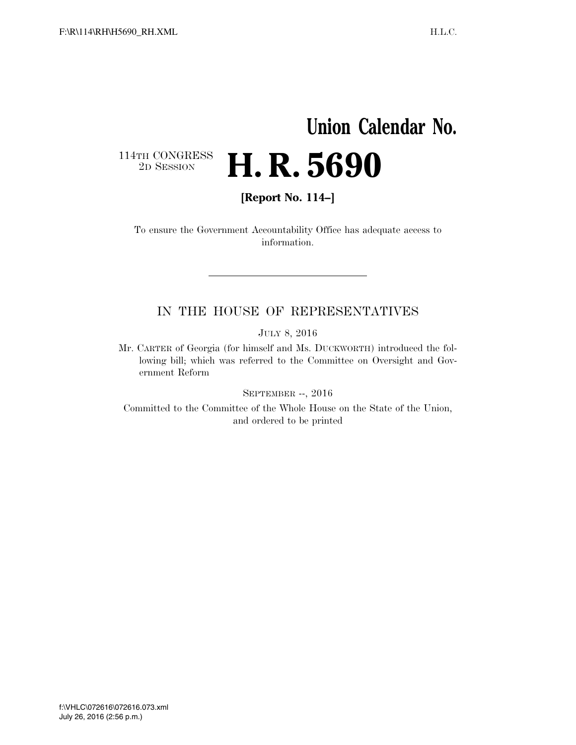## **Union Calendar No.**   $\begin{array}{c} \textbf{114TH CONGRESS} \\ \textbf{2D} \textbf{Session} \end{array}$ 2D SESSION **H. R. 5690**

**[Report No. 114–]** 

To ensure the Government Accountability Office has adequate access to information.

### IN THE HOUSE OF REPRESENTATIVES

JULY 8, 2016

Mr. CARTER of Georgia (for himself and Ms. DUCKWORTH) introduced the following bill; which was referred to the Committee on Oversight and Government Reform

SEPTEMBER --, 2016

Committed to the Committee of the Whole House on the State of the Union, and ordered to be printed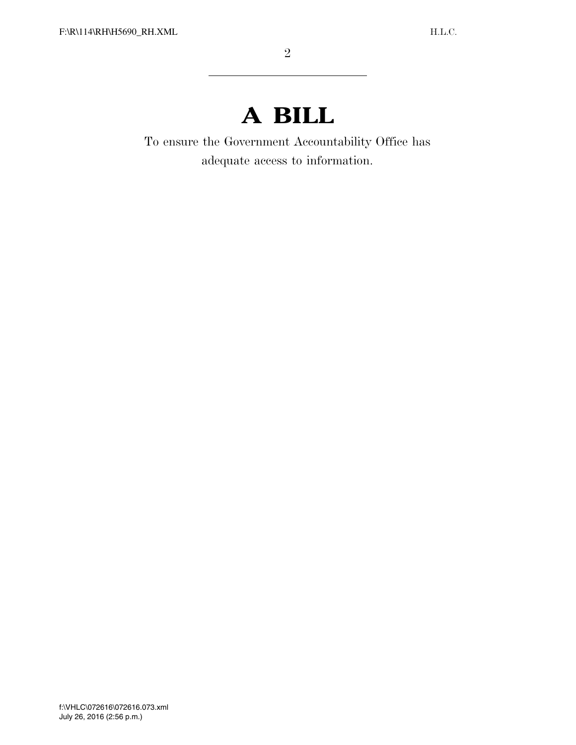# **A BILL**

To ensure the Government Accountability Office has adequate access to information.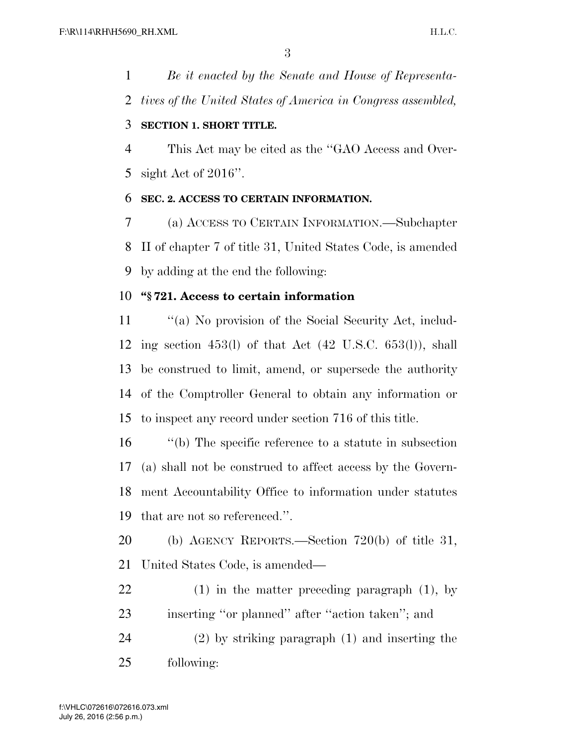*Be it enacted by the Senate and House of Representa-tives of the United States of America in Congress assembled,* 

#### **SECTION 1. SHORT TITLE.**

 This Act may be cited as the ''GAO Access and Over-sight Act of 2016''.

#### **SEC. 2. ACCESS TO CERTAIN INFORMATION.**

 (a) ACCESS TO CERTAIN INFORMATION.—Subchapter II of chapter 7 of title 31, United States Code, is amended by adding at the end the following:

#### **''§ 721. Access to certain information**

 ''(a) No provision of the Social Security Act, includ- ing section 453(l) of that Act (42 U.S.C. 653(l)), shall be construed to limit, amend, or supersede the authority of the Comptroller General to obtain any information or to inspect any record under section 716 of this title.

 ''(b) The specific reference to a statute in subsection (a) shall not be construed to affect access by the Govern- ment Accountability Office to information under statutes that are not so referenced.''.

 (b) AGENCY REPORTS.—Section 720(b) of title 31, United States Code, is amended—

 (1) in the matter preceding paragraph (1), by inserting ''or planned'' after ''action taken''; and

 (2) by striking paragraph (1) and inserting the following: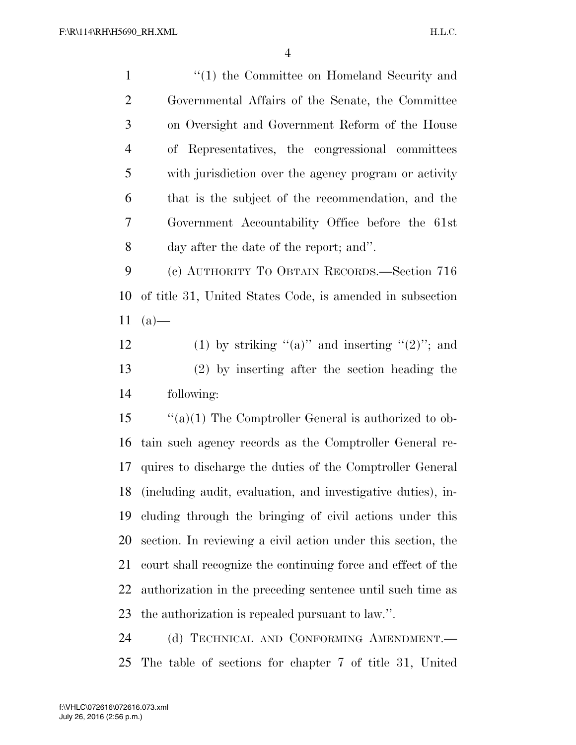| $\mathbf{1}$   | $\lq(1)$ the Committee on Homeland Security and              |
|----------------|--------------------------------------------------------------|
| $\overline{2}$ | Governmental Affairs of the Senate, the Committee            |
| 3              | on Oversight and Government Reform of the House              |
| $\overline{4}$ | Representatives, the congressional committees<br>of          |
| 5              | with jurisdiction over the agency program or activity        |
| 6              | that is the subject of the recommendation, and the           |
| $\overline{7}$ | Government Accountability Office before the 61st             |
| 8              | day after the date of the report; and".                      |
| 9              | (c) AUTHORITY TO OBTAIN RECORDS.-Section 716                 |
| 10             | of title 31, United States Code, is amended in subsection    |
| 11             | $(a)$ —                                                      |
| 12             | (1) by striking "(a)" and inserting "(2)"; and               |
| 13             | $(2)$ by inserting after the section heading the             |
| 14             | following:                                                   |
| 15             | " $(a)(1)$ The Comptroller General is authorized to ob-      |
| 16             | tain such agency records as the Comptroller General re-      |
| 17             | quires to discharge the duties of the Comptroller General    |
| 18             | (including audit, evaluation, and investigative duties), in- |
| 19             | cluding through the bringing of civil actions under this     |

 section. In reviewing a civil action under this section, the court shall recognize the continuing force and effect of the authorization in the preceding sentence until such time as the authorization is repealed pursuant to law.''.

24 (d) TECHNICAL AND CONFORMING AMENDMENT. The table of sections for chapter 7 of title 31, United